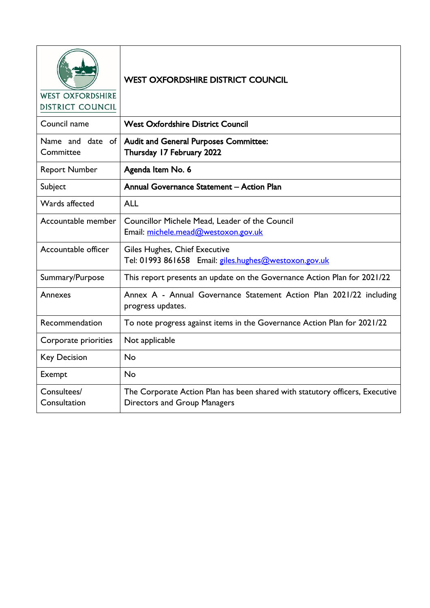| <b>WEST OXFORDSHIRE</b><br><b>DISTRICT COUNCIL</b> | <b>WEST OXFORDSHIRE DISTRICT COUNCIL</b>                                                                            |
|----------------------------------------------------|---------------------------------------------------------------------------------------------------------------------|
| Council name                                       | <b>West Oxfordshire District Council</b>                                                                            |
| Name and date of<br>Committee                      | <b>Audit and General Purposes Committee:</b><br>Thursday 17 February 2022                                           |
| <b>Report Number</b>                               | Agenda Item No. 6                                                                                                   |
| Subject                                            | Annual Governance Statement - Action Plan                                                                           |
| Wards affected                                     | <b>ALL</b>                                                                                                          |
| Accountable member                                 | Councillor Michele Mead, Leader of the Council<br>Email: michele.mead@westoxon.gov.uk                               |
| Accountable officer                                | Giles Hughes, Chief Executive<br>Tel: 01993 861658 Email: giles.hughes@westoxon.gov.uk                              |
| Summary/Purpose                                    | This report presents an update on the Governance Action Plan for 2021/22                                            |
| Annexes                                            | Annex A - Annual Governance Statement Action Plan 2021/22 including<br>progress updates.                            |
| Recommendation                                     | To note progress against items in the Governance Action Plan for 2021/22                                            |
| Corporate priorities                               | Not applicable                                                                                                      |
| <b>Key Decision</b>                                | <b>No</b>                                                                                                           |
| Exempt                                             | <b>No</b>                                                                                                           |
| Consultees/<br>Consultation                        | The Corporate Action Plan has been shared with statutory officers, Executive<br><b>Directors and Group Managers</b> |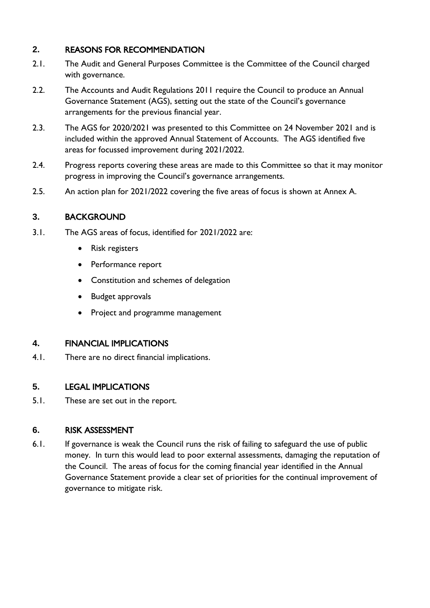# **2.** REASONS FOR RECOMMENDATION

- 2.1. The Audit and General Purposes Committee is the Committee of the Council charged with governance.
- 2.2. The Accounts and Audit Regulations 2011 require the Council to produce an Annual Governance Statement (AGS), setting out the state of the Council's governance arrangements for the previous financial year.
- 2.3. The AGS for 2020/2021 was presented to this Committee on 24 November 2021 and is included within the approved Annual Statement of Accounts. The AGS identified five areas for focussed improvement during 2021/2022.
- 2.4. Progress reports covering these areas are made to this Committee so that it may monitor progress in improving the Council's governance arrangements.
- 2.5. An action plan for 2021/2022 covering the five areas of focus is shown at Annex A.

# **3.** BACKGROUND

- 3.1. The AGS areas of focus, identified for 2021/2022 are:
	- Risk registers
	- Performance report
	- Constitution and schemes of delegation
	- Budget approvals
	- Project and programme management

#### **4.** FINANCIAL IMPLICATIONS

4.1. There are no direct financial implications.

#### **5.** LEGAL IMPLICATIONS

5.1. These are set out in the report.

#### **6.** RISK ASSESSMENT

6.1. If governance is weak the Council runs the risk of failing to safeguard the use of public money. In turn this would lead to poor external assessments, damaging the reputation of the Council. The areas of focus for the coming financial year identified in the Annual Governance Statement provide a clear set of priorities for the continual improvement of governance to mitigate risk.